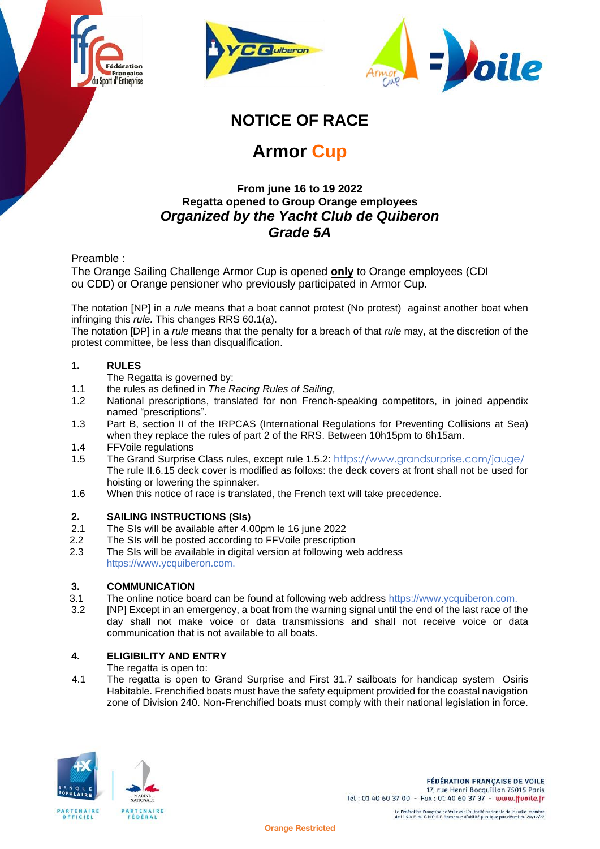





## **NOTICE OF RACE**

# **Armor Cup**

## **From june 16 to 19 2022 Regatta opened to Group Orange employees** *Organized by the Yacht Club de Quiberon Grade 5A*

Preamble :

The Orange Sailing Challenge Armor Cup is opened **only** to Orange employees (CDI ou CDD) or Orange pensioner who previously participated in Armor Cup.

The notation [NP] in a *rule* means that a boat cannot protest (No protest) against another boat when infringing this *rule.* This changes RRS 60.1(a).

The notation [DP] in a *rule* means that the penalty for a breach of that *rule* may, at the discretion of the protest committee, be less than disqualification.

### **1. RULES**

The Regatta is governed by:

- 1.1 the rules as defined in *The Racing Rules of Sailing,*
- 1.2 National prescriptions, translated for non French-speaking competitors, in joined appendix named "prescriptions".
- 1.3 Part B, section II of the IRPCAS (International Regulations for Preventing Collisions at Sea) when they replace the rules of part 2 of the RRS. Between 10h15pm to 6h15am.
- 1.4 FFVoile regulations
- 1.5 The Grand Surprise Class rules, except rule 1.5.2: <https://www.grandsurprise.com/jauge/> The rule II.6.15 deck cover is modified as folloxs: the deck covers at front shall not be used for hoisting or lowering the spinnaker.
- 1.6 When this notice of race is translated, the French text will take precedence.

## **2. SAILING INSTRUCTIONS (SIs)**

- 2.1 The SIs will be available after 4.00pm le 16 june 2022
- 2.2 The SIs will be posted according to FFVoile prescription
- 2.3 The SIs will be available in digital version at following web address https://www.ycquiberon.com.

## **3. COMMUNICATION**

- 3.1 The online notice board can be found at following web address https://www.ycquiberon.com.
- 3.2 [NP] Except in an emergency, a boat from the warning signal until the end of the last race of the day shall not make voice or data transmissions and shall not receive voice or data communication that is not available to all boats.

## **4. ELIGIBILITY AND ENTRY**

The regatta is open to:

4.1 The regatta is open to Grand Surprise and First 31.7 sailboats for handicap system Osiris Habitable. Frenchified boats must have the safety equipment provided for the coastal navigation zone of Division 240. Non-Frenchified boats must comply with their national legislation in force.

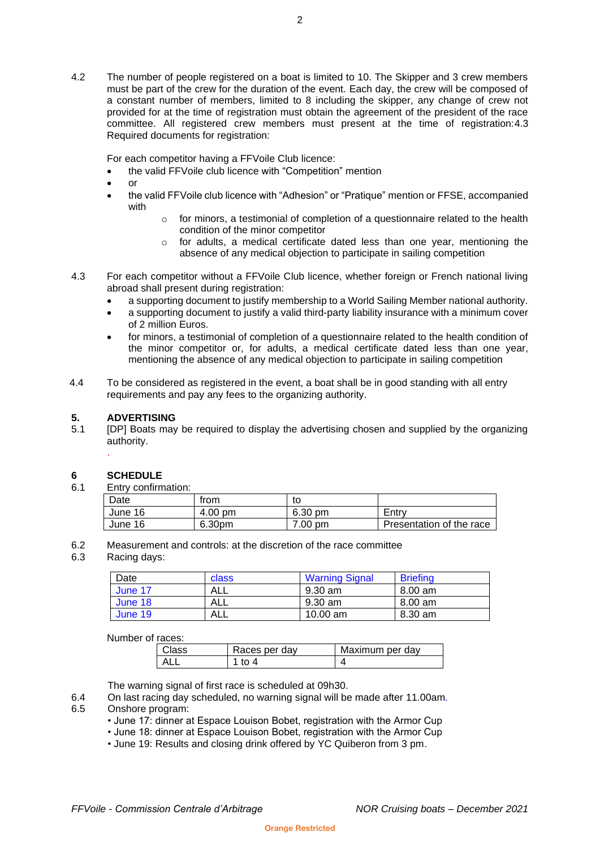4.2 The number of people registered on a boat is limited to 10. The Skipper and 3 crew members must be part of the crew for the duration of the event. Each day, the crew will be composed of a constant number of members, limited to 8 including the skipper, any change of crew not provided for at the time of registration must obtain the agreement of the president of the race committee. All registered crew members must present at the time of registration:4.3 Required documents for registration:

For each competitor having a FFVoile Club licence:

- the valid FFVoile club licence with "Competition" mention
- or
- the valid FFVoile club licence with "Adhesion" or "Pratique" mention or FFSE, accompanied with
	- o for minors, a testimonial of completion of a questionnaire related to the health condition of the minor competitor
	- $\circ$  for adults, a medical certificate dated less than one year, mentioning the absence of any medical objection to participate in sailing competition
- 4.3 For each competitor without a FFVoile Club licence, whether foreign or French national living abroad shall present during registration:
	- a supporting document to justify membership to a World Sailing Member national authority.
	- a supporting document to justify a valid third-party liability insurance with a minimum cover of 2 million Euros.
	- for minors, a testimonial of completion of a questionnaire related to the health condition of the minor competitor or, for adults, a medical certificate dated less than one year, mentioning the absence of any medical objection to participate in sailing competition
- 4.4 To be considered as registered in the event, a boat shall be in good standing with all entry requirements and pay any fees to the organizing authority.

#### **5. ADVERTISING**

5.1 [DP] Boats may be required to display the advertising chosen and supplied by the organizing authority.

## **6 SCHEDULE**

*.*

6.1 Entry confirmation:

| Date    | trom              | tc      |                          |  |
|---------|-------------------|---------|--------------------------|--|
| June 16 | $4.00 \text{ pm}$ | 6.30 pm | Entry                    |  |
| June 16 | 6.30pm            | 7.00 pm | Presentation of the race |  |

6.2 Measurement and controls: at the discretion of the race committee

#### 6.3 Racing days:

| Date    | class | <b>Warning Signal</b> | <b>Briefing</b> |
|---------|-------|-----------------------|-----------------|
| June 17 | ALL   | 9.30 am               | 8.00 am         |
| June 18 | ALL   | 9.30 am               | 8.00 am         |
| June 19 | ALL   | 10.00 $\text{am}$     | 8.30 am         |

Number of races:

|  | es per dav: | aximum per dav |
|--|-------------|----------------|
|  |             |                |

The warning signal of first race is scheduled at 09h30.

- 6.4 On last racing day scheduled, no warning signal will be made after 11.00am*.*
- 6.5 Onshore program:
	- June 17: dinner at Espace Louison Bobet, registration with the Armor Cup
	- June 18: dinner at Espace Louison Bobet, registration with the Armor Cup
	- June 19: Results and closing drink offered by YC Quiberon from 3 pm.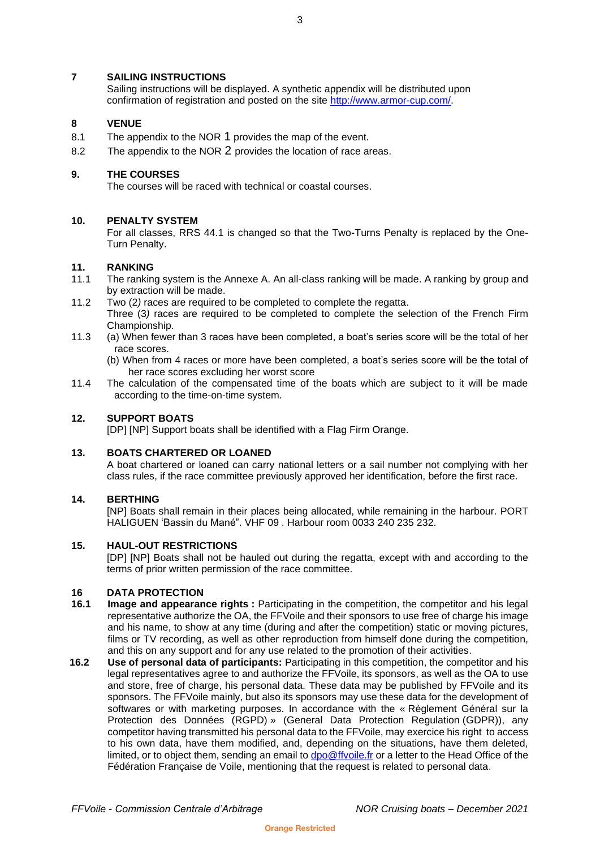#### **7 SAILING INSTRUCTIONS**

Sailing instructions will be displayed. A synthetic appendix will be distributed upon confirmation of registration and posted on the site [http://www.armor-cup.com/.](http://www.armor-cup.com/)

#### **8 VENUE**

- 8.1 The appendix to the NOR 1 provides the map of the event.
- 8.2 The appendix to the NOR 2 provides the location of race areas.

#### **9. THE COURSES**

The courses will be raced with technical or coastal courses.

#### **10. PENALTY SYSTEM**

For all classes, RRS 44.1 is changed so that the Two-Turns Penalty is replaced by the One-Turn Penalty.

#### **11. RANKING**

- 11.1 The ranking system is the Annexe A. An all-class ranking will be made. A ranking by group and by extraction will be made.
- 11.2 Two (2*)* races are required to be completed to complete the regatta.

Three (3*)* races are required to be completed to complete the selection of the French Firm Championship.

- 11.3 (a) When fewer than 3 races have been completed, a boat's series score will be the total of her race scores.
	- (b) When from 4 races or more have been completed, a boat's series score will be the total of her race scores excluding her worst score
- 11.4 The calculation of the compensated time of the boats which are subject to it will be made according to the time-on-time system.

#### **12. SUPPORT BOATS**

[DP] [NP] Support boats shall be identified with a Flag Firm Orange.

#### **13. BOATS CHARTERED OR LOANED**

A boat chartered or loaned can carry national letters or a sail number not complying with her class rules, if the race committee previously approved her identification, before the first race.

#### **14. BERTHING**

[NP] Boats shall remain in their places being allocated, while remaining in the harbour. PORT HALIGUEN 'Bassin du Mané". VHF 09 . Harbour room 0033 240 235 232.

#### **15. HAUL-OUT RESTRICTIONS**

[DP] [NP] Boats shall not be hauled out during the regatta, except with and according to the terms of prior written permission of the race committee.

## **16 DATA PROTECTION**

- **Image and appearance rights** : Participating in the competition, the competitor and his legal representative authorize the OA, the FFVoile and their sponsors to use free of charge his image and his name, to show at any time (during and after the competition) static or moving pictures, films or TV recording, as well as other reproduction from himself done during the competition, and this on any support and for any use related to the promotion of their activities.
- **16.2 Use of personal data of participants:** Participating in this competition, the competitor and his legal representatives agree to and authorize the FFVoile, its sponsors, as well as the OA to use and store, free of charge, his personal data. These data may be published by FFVoile and its sponsors. The FFVoile mainly, but also its sponsors may use these data for the development of softwares or with marketing purposes. In accordance with the « Règlement Général sur la Protection des Données (RGPD) » (General Data Protection Regulation (GDPR)), any competitor having transmitted his personal data to the FFVoile, may exercice his right to access to his own data, have them modified, and, depending on the situations, have them deleted, limited, or to object them, sending an email t[o dpo@ffvoile.fr](mailto:dpo@ffvoile.fr) or a letter to the Head Office of the Fédération Française de Voile, mentioning that the request is related to personal data.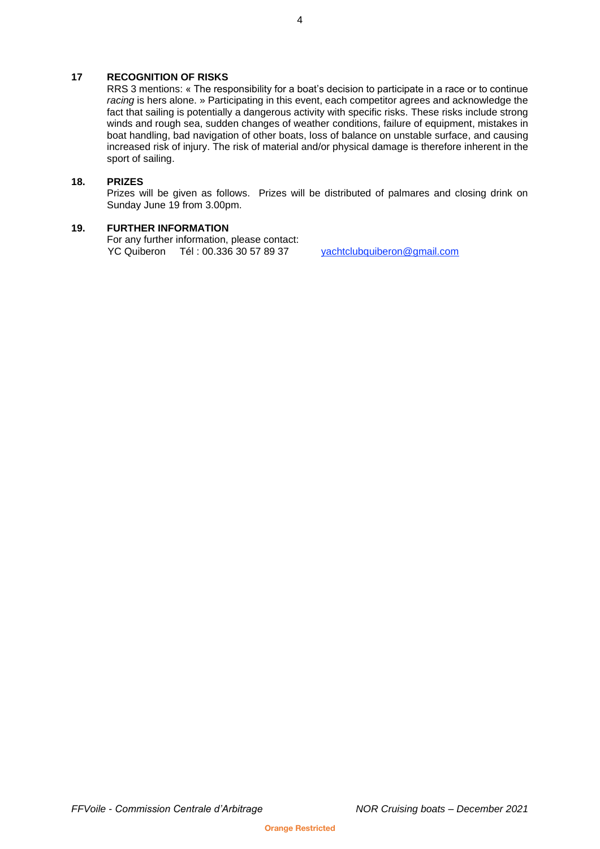#### **17 RECOGNITION OF RISKS**

RRS 3 mentions: « The responsibility for a boat's decision to participate in a race or to continue *racing* is hers alone. » Participating in this event, each competitor agrees and acknowledge the fact that sailing is potentially a dangerous activity with specific risks. These risks include strong winds and rough sea, sudden changes of weather conditions, failure of equipment, mistakes in boat handling, bad navigation of other boats, loss of balance on unstable surface, and causing increased risk of injury. The risk of material and/or physical damage is therefore inherent in the sport of sailing.

#### **18. PRIZES**

Prizes will be given as follows. Prizes will be distributed of palmares and closing drink on Sunday June 19 from 3.00pm.

#### **19. FURTHER INFORMATION**

For any further information, please contact: YC Quiberon Tél : 00.336 30 57 89 37 [yachtclubquiberon@gmail.com](mailto:yachtclubquiberon@gmail.com)

4